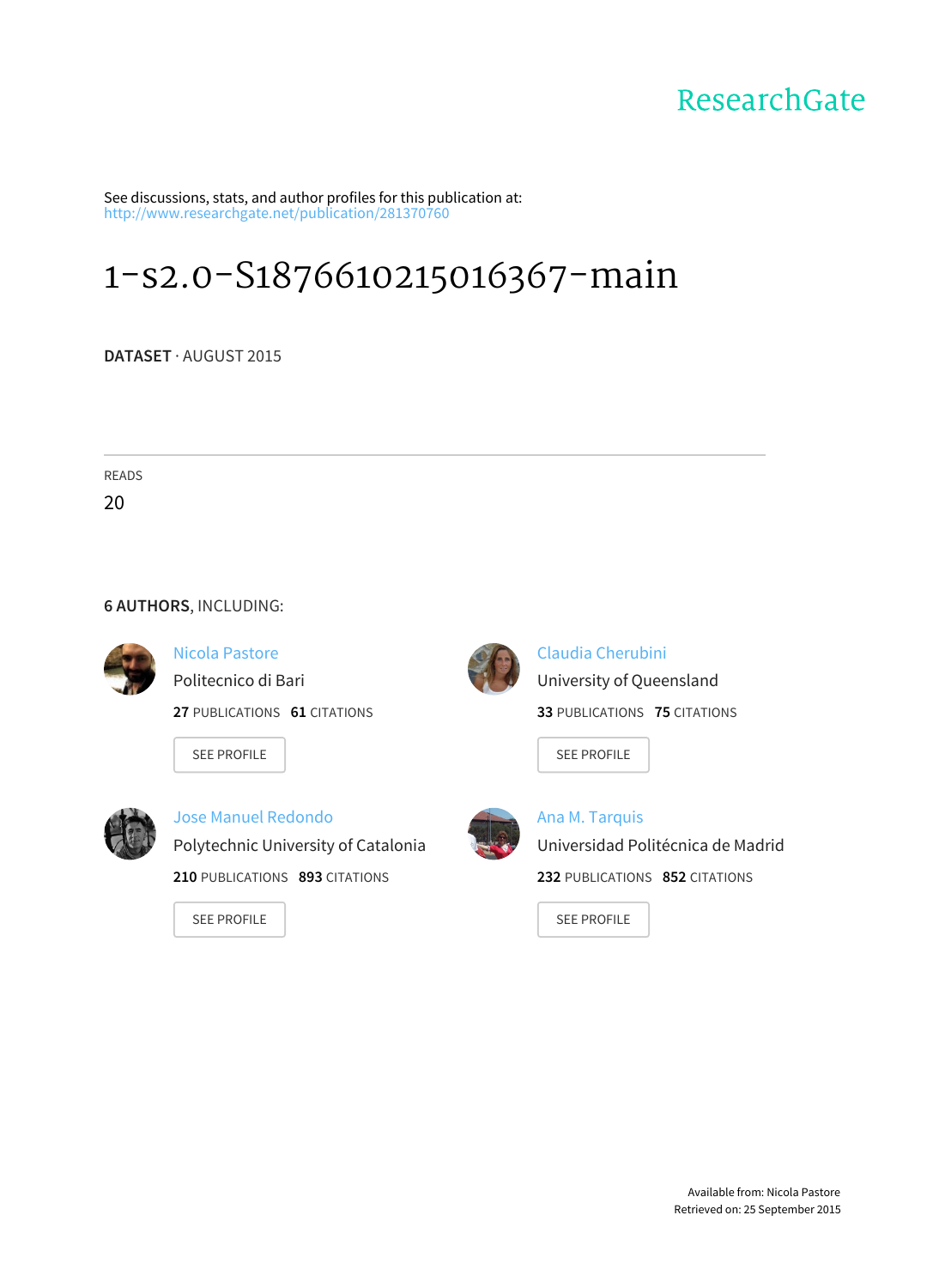# ResearchGate

See discussions, stats, and author profiles for this publication at: [http://www.researchgate.net/publication/281370760](http://www.researchgate.net/publication/281370760_1-s2.0-S1876610215016367-main?enrichId=rgreq-f751b73d-402a-41cb-b0a5-bf57f9c781ae&enrichSource=Y292ZXJQYWdlOzI4MTM3MDc2MDtBUzoyNjg0MzIyMDE0ODIyNjVAMTQ0MTAxMDYzMjgxOQ%3D%3D&el=1_x_2)

# [1-s2.0-S1876610215016367-main](http://www.researchgate.net/publication/281370760_1-s2.0-S1876610215016367-main?enrichId=rgreq-f751b73d-402a-41cb-b0a5-bf57f9c781ae&enrichSource=Y292ZXJQYWdlOzI4MTM3MDc2MDtBUzoyNjg0MzIyMDE0ODIyNjVAMTQ0MTAxMDYzMjgxOQ%3D%3D&el=1_x_3)

**DATASET** · AUGUST 2015

READS

20

#### **6 AUTHORS**, INCLUDING:



Nicola [Pastore](http://www.researchgate.net/profile/Nicola_Pastore2?enrichId=rgreq-f751b73d-402a-41cb-b0a5-bf57f9c781ae&enrichSource=Y292ZXJQYWdlOzI4MTM3MDc2MDtBUzoyNjg0MzIyMDE0ODIyNjVAMTQ0MTAxMDYzMjgxOQ%3D%3D&el=1_x_5)

[Politecnico](http://www.researchgate.net/institution/Politecnico_di_Bari?enrichId=rgreq-f751b73d-402a-41cb-b0a5-bf57f9c781ae&enrichSource=Y292ZXJQYWdlOzI4MTM3MDc2MDtBUzoyNjg0MzIyMDE0ODIyNjVAMTQ0MTAxMDYzMjgxOQ%3D%3D&el=1_x_6) di Bari

**27** PUBLICATIONS **61** CITATIONS

SEE [PROFILE](http://www.researchgate.net/profile/Nicola_Pastore2?enrichId=rgreq-f751b73d-402a-41cb-b0a5-bf57f9c781ae&enrichSource=Y292ZXJQYWdlOzI4MTM3MDc2MDtBUzoyNjg0MzIyMDE0ODIyNjVAMTQ0MTAxMDYzMjgxOQ%3D%3D&el=1_x_7)



Jose Manuel [Redondo](http://www.researchgate.net/profile/Jose_Redondo3?enrichId=rgreq-f751b73d-402a-41cb-b0a5-bf57f9c781ae&enrichSource=Y292ZXJQYWdlOzI4MTM3MDc2MDtBUzoyNjg0MzIyMDE0ODIyNjVAMTQ0MTAxMDYzMjgxOQ%3D%3D&el=1_x_5) [Polytechnic](http://www.researchgate.net/institution/Polytechnic_University_of_Catalonia?enrichId=rgreq-f751b73d-402a-41cb-b0a5-bf57f9c781ae&enrichSource=Y292ZXJQYWdlOzI4MTM3MDc2MDtBUzoyNjg0MzIyMDE0ODIyNjVAMTQ0MTAxMDYzMjgxOQ%3D%3D&el=1_x_6) University of Catalonia **210** PUBLICATIONS **893** CITATIONS

SEE [PROFILE](http://www.researchgate.net/profile/Jose_Redondo3?enrichId=rgreq-f751b73d-402a-41cb-b0a5-bf57f9c781ae&enrichSource=Y292ZXJQYWdlOzI4MTM3MDc2MDtBUzoyNjg0MzIyMDE0ODIyNjVAMTQ0MTAxMDYzMjgxOQ%3D%3D&el=1_x_7)



Claudia [Cherubini](http://www.researchgate.net/profile/Claudia_Cherubini?enrichId=rgreq-f751b73d-402a-41cb-b0a5-bf57f9c781ae&enrichSource=Y292ZXJQYWdlOzI4MTM3MDc2MDtBUzoyNjg0MzIyMDE0ODIyNjVAMTQ0MTAxMDYzMjgxOQ%3D%3D&el=1_x_5) University of [Queensland](http://www.researchgate.net/institution/University_of_Queensland?enrichId=rgreq-f751b73d-402a-41cb-b0a5-bf57f9c781ae&enrichSource=Y292ZXJQYWdlOzI4MTM3MDc2MDtBUzoyNjg0MzIyMDE0ODIyNjVAMTQ0MTAxMDYzMjgxOQ%3D%3D&el=1_x_6) **33** PUBLICATIONS **75** CITATIONS

SEE [PROFILE](http://www.researchgate.net/profile/Claudia_Cherubini?enrichId=rgreq-f751b73d-402a-41cb-b0a5-bf57f9c781ae&enrichSource=Y292ZXJQYWdlOzI4MTM3MDc2MDtBUzoyNjg0MzIyMDE0ODIyNjVAMTQ0MTAxMDYzMjgxOQ%3D%3D&el=1_x_7)



Ana M. [Tarquis](http://www.researchgate.net/profile/Ana_M_Tarquis?enrichId=rgreq-f751b73d-402a-41cb-b0a5-bf57f9c781ae&enrichSource=Y292ZXJQYWdlOzI4MTM3MDc2MDtBUzoyNjg0MzIyMDE0ODIyNjVAMTQ0MTAxMDYzMjgxOQ%3D%3D&el=1_x_5) [Universidad](http://www.researchgate.net/institution/Universidad_Politecnica_de_Madrid?enrichId=rgreq-f751b73d-402a-41cb-b0a5-bf57f9c781ae&enrichSource=Y292ZXJQYWdlOzI4MTM3MDc2MDtBUzoyNjg0MzIyMDE0ODIyNjVAMTQ0MTAxMDYzMjgxOQ%3D%3D&el=1_x_6) Politécnica de Madrid **232** PUBLICATIONS **852** CITATIONS

SEE [PROFILE](http://www.researchgate.net/profile/Ana_M_Tarquis?enrichId=rgreq-f751b73d-402a-41cb-b0a5-bf57f9c781ae&enrichSource=Y292ZXJQYWdlOzI4MTM3MDc2MDtBUzoyNjg0MzIyMDE0ODIyNjVAMTQ0MTAxMDYzMjgxOQ%3D%3D&el=1_x_7)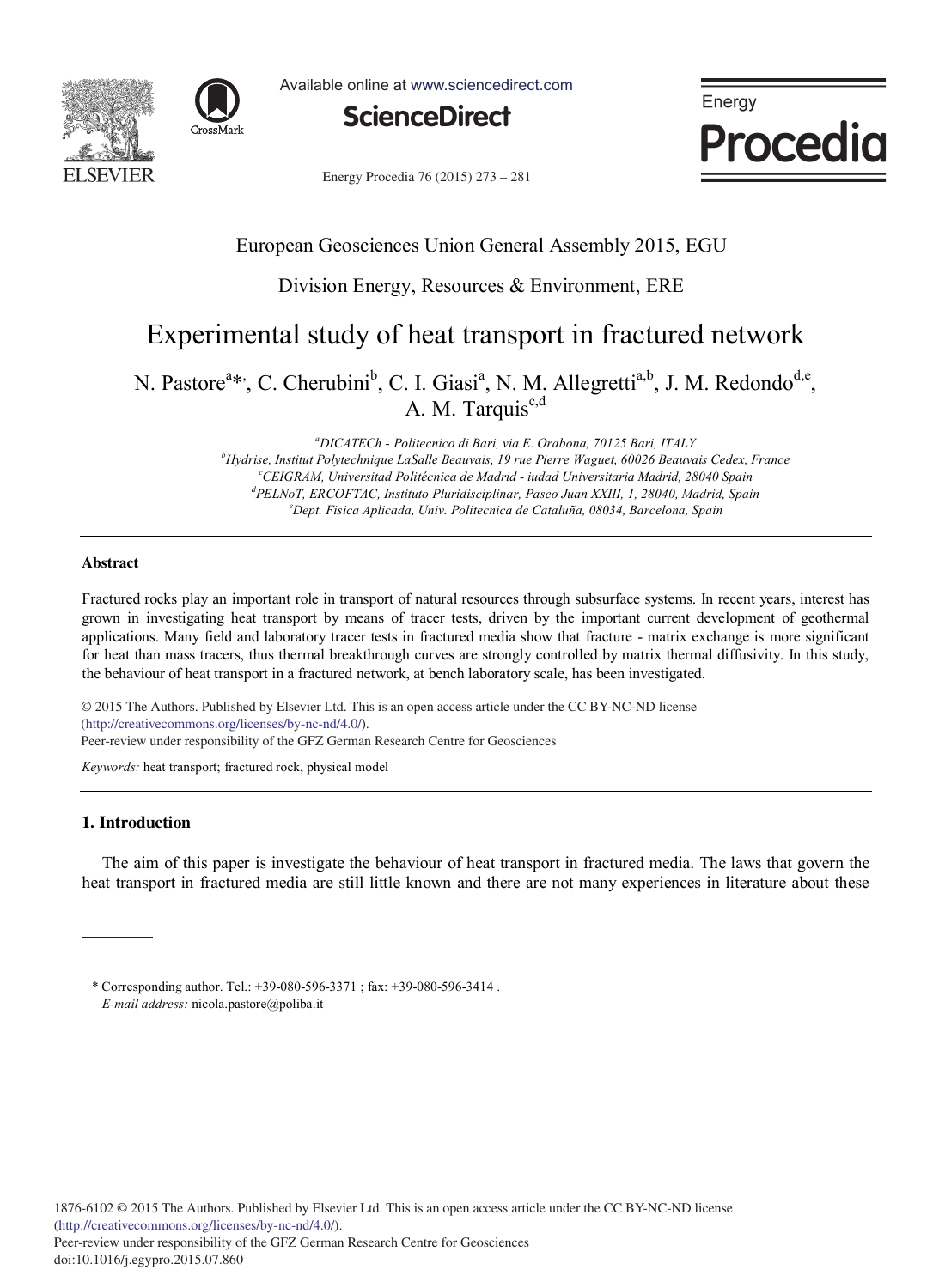



Available online at www.sciencedirect.com



Energy **Procedia** 

Energy Procedia 76 (2015) 273 - 281

## European Geosciences Union General Assembly 2015, EGU

### Division Energy, Resources & Environment, ERE

## Experimental study of heat transport in fractured network

N. Pastore<sup>a\*</sup>, C. Cherubini<sup>b</sup>, C. I. Giasi<sup>a</sup>, N. M. Allegretti<sup>a,b</sup>, J. M. Redondo<sup>d,e</sup>, A. M. Tarquis<sup>c,d</sup>

> *a DICATECh - Politecnico di Bari, via E. Orabona, 70125 Bari, ITALY b Hydrise, Institut Polytechnique LaSalle Beauvais, 19 rue Pierre Waguet, 60026 Beauvais Cedex, France c CEIGRAM, Universitad Politécnica de Madrid - iudad Universitaria Madrid, 28040 Spain d PELNoT, ERCOFTAC, Instituto Pluridisciplinar, Paseo Juan XXIII, 1, 28040, Madrid, Spain e Dept. Fisica Aplicada, Univ. Politecnica de Cataluña, 08034, Barcelona, Spain*

#### **Abstract**

Fractured rocks play an important role in transport of natural resources through subsurface systems. In recent years, interest has grown in investigating heat transport by means of tracer tests, driven by the important current development of geothermal applications. Many field and laboratory tracer tests in fractured media show that fracture - matrix exchange is more significant for heat than mass tracers, thus thermal breakthrough curves are strongly controlled by matrix thermal diffusivity. In this study, the behaviour of heat transport in a fractured network, at bench laboratory scale, has been investigated.

© 2015 The Authors. Published by Elsevier Ltd. © 2015 The Authors. Published by Elsevier Ltd. This is an open access article under the CC BY-NC-ND license (http://creativecommons.org/licenses/by-nc-nd/4.0/). Peer-review under responsibility of the GFZ German Research Centre for Geosciences

*Keywords:* heat transport; fractured rock, physical model

#### **1. Introduction**

The aim of this paper is investigate the behaviour of heat transport in fractured media. The laws that govern the heat transport in fractured media are still little known and there are not many experiences in literature about these

\* Corresponding author. Tel.: +39-080-596-3371 ; fax: +39-080-596-3414 . *E-mail address:* nicola.pastore@poliba.it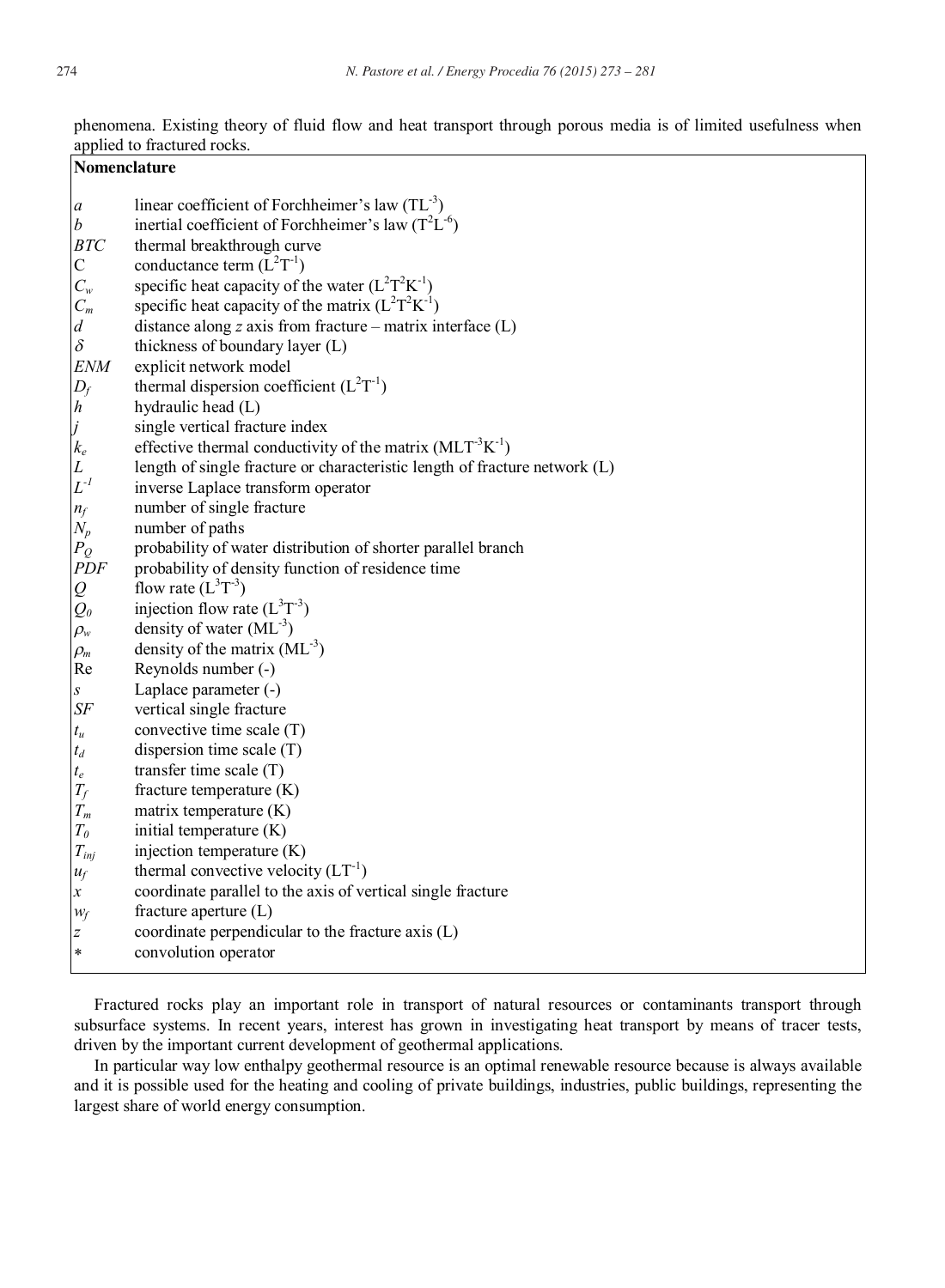phenomena. Existing theory of fluid flow and heat transport through porous media is of limited usefulness when applied to fractured rocks.

| <b>Nomenclature</b>                                       |                                                                                                                   |  |  |
|-----------------------------------------------------------|-------------------------------------------------------------------------------------------------------------------|--|--|
| a                                                         | linear coefficient of Forchheimer's law $(TL^{-3})$                                                               |  |  |
| $\boldsymbol{b}$                                          | inertial coefficient of Forchheimer's law $(T^2L^{-6})$                                                           |  |  |
| <b>BTC</b>                                                | thermal breakthrough curve                                                                                        |  |  |
| $\mathsf{C}$                                              | conductance term $(L^2T^{-1})$                                                                                    |  |  |
| $C_w$                                                     | specific heat capacity of the water $(L^2T^2K^{-1})$                                                              |  |  |
| $C_m$                                                     | specific heat capacity of the matrix $(L^2T^2K^{-1})$                                                             |  |  |
| d                                                         | distance along $z$ axis from fracture – matrix interface (L)                                                      |  |  |
| $\delta$                                                  | thickness of boundary layer (L)                                                                                   |  |  |
| <b>ENM</b>                                                | explicit network model                                                                                            |  |  |
| $D_f$                                                     | thermal dispersion coefficient $(L^2T^{-1})$                                                                      |  |  |
| $\boldsymbol{h}$                                          | hydraulic head (L)                                                                                                |  |  |
| j                                                         | single vertical fracture index                                                                                    |  |  |
| $k_e$                                                     | effective thermal conductivity of the matrix $(MLT-3K-1)$                                                         |  |  |
| $\cal L$                                                  | length of single fracture or characteristic length of fracture network (L)                                        |  |  |
| $L^{-l}$                                                  | inverse Laplace transform operator                                                                                |  |  |
| $n_f$                                                     | number of single fracture                                                                                         |  |  |
| $N_p$                                                     | number of paths                                                                                                   |  |  |
| $P_Q$<br>PDF                                              | probability of water distribution of shorter parallel branch<br>probability of density function of residence time |  |  |
| $\mathcal{Q}% _{M_{1},M_{2}}^{\alpha,\beta}(\mathcal{A})$ | flow rate $(L^{3}T^{-3})$                                                                                         |  |  |
| $Q_0$                                                     | injection flow rate $(L^3T^{-3})$                                                                                 |  |  |
| $\rho_w$                                                  | density of water $(ML^{-3})$                                                                                      |  |  |
| $\rho_m$                                                  | density of the matrix $(ML-3)$                                                                                    |  |  |
| Re                                                        | Reynolds number (-)                                                                                               |  |  |
| $\boldsymbol{S}$                                          | Laplace parameter (-)                                                                                             |  |  |
| $S\!F$                                                    | vertical single fracture                                                                                          |  |  |
| $t_u$                                                     | convective time scale (T)                                                                                         |  |  |
| $t_d$                                                     | dispersion time scale $(T)$                                                                                       |  |  |
| $t_e\,$                                                   | transfer time scale $(T)$                                                                                         |  |  |
| $T_{\!f}$                                                 | fracture temperature $(K)$                                                                                        |  |  |
| $T_m$                                                     | matrix temperature (K)                                                                                            |  |  |
| $T_{\theta}$                                              | initial temperature (K)                                                                                           |  |  |
| $T_{inj}$                                                 | injection temperature (K)                                                                                         |  |  |
| $u_f$                                                     | thermal convective velocity $(LT^{-1})$                                                                           |  |  |
| $\boldsymbol{\chi}$                                       | coordinate parallel to the axis of vertical single fracture                                                       |  |  |
| $W_f$                                                     | fracture aperture $(L)$                                                                                           |  |  |
| z                                                         | coordinate perpendicular to the fracture axis (L)                                                                 |  |  |
| $\ast$                                                    | convolution operator                                                                                              |  |  |

Fractured rocks play an important role in transport of natural resources or contaminants transport through subsurface systems. In recent years, interest has grown in investigating heat transport by means of tracer tests, driven by the important current development of geothermal applications.

In particular way low enthalpy geothermal resource is an optimal renewable resource because is always available and it is possible used for the heating and cooling of private buildings, industries, public buildings, representing the largest share of world energy consumption.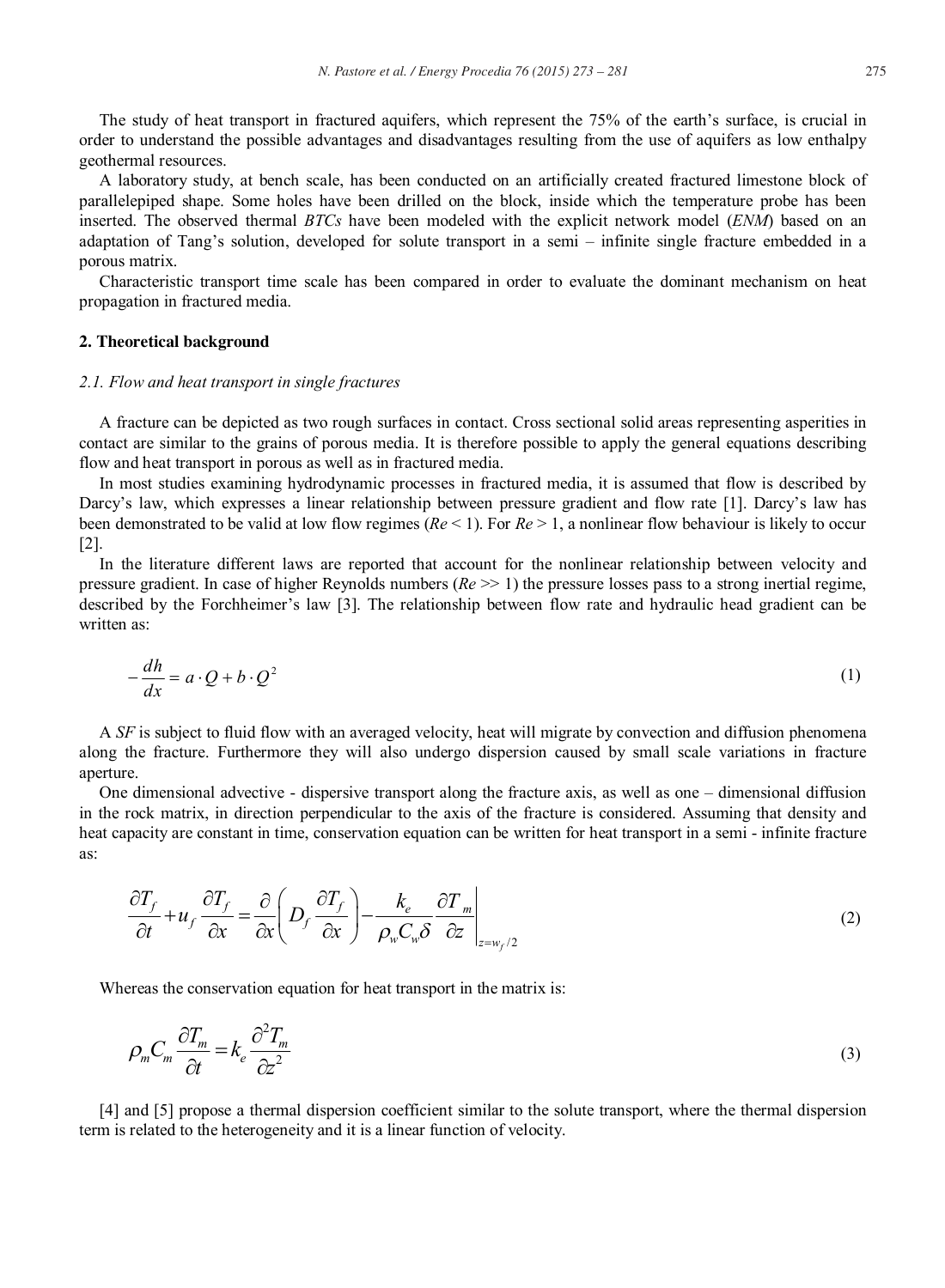The study of heat transport in fractured aquifers, which represent the 75% of the earth's surface, is crucial in order to understand the possible advantages and disadvantages resulting from the use of aquifers as low enthalpy geothermal resources.

A laboratory study, at bench scale, has been conducted on an artificially created fractured limestone block of parallelepiped shape. Some holes have been drilled on the block, inside which the temperature probe has been inserted. The observed thermal *BTCs* have been modeled with the explicit network model (*ENM*) based on an adaptation of Tang's solution, developed for solute transport in a semi – infinite single fracture embedded in a porous matrix.

Characteristic transport time scale has been compared in order to evaluate the dominant mechanism on heat propagation in fractured media.

#### **2. Theoretical background**

#### *2.1. Flow and heat transport in single fractures*

A fracture can be depicted as two rough surfaces in contact. Cross sectional solid areas representing asperities in contact are similar to the grains of porous media. It is therefore possible to apply the general equations describing flow and heat transport in porous as well as in fractured media.

In most studies examining hydrodynamic processes in fractured media, it is assumed that flow is described by Darcy's law, which expresses a linear relationship between pressure gradient and flow rate [1]. Darcy's law has been demonstrated to be valid at low flow regimes (*Re* < 1). For *Re* > 1, a nonlinear flow behaviour is likely to occur [2].

In the literature different laws are reported that account for the nonlinear relationship between velocity and pressure gradient. In case of higher Reynolds numbers (*Re* >> 1) the pressure losses pass to a strong inertial regime, described by the Forchheimer's law [3]. The relationship between flow rate and hydraulic head gradient can be written as:

$$
-\frac{dh}{dx} = a \cdot Q + b \cdot Q^2 \tag{1}
$$

A *SF* is subject to fluid flow with an averaged velocity, heat will migrate by convection and diffusion phenomena along the fracture. Furthermore they will also undergo dispersion caused by small scale variations in fracture aperture.

One dimensional advective - dispersive transport along the fracture axis, as well as one – dimensional diffusion in the rock matrix, in direction perpendicular to the axis of the fracture is considered. Assuming that density and heat capacity are constant in time, conservation equation can be written for heat transport in a semi - infinite fracture as:

$$
\frac{\partial T_f}{\partial t} + u_f \frac{\partial T_f}{\partial x} = \frac{\partial}{\partial x} \left( D_f \frac{\partial T_f}{\partial x} \right) - \frac{k_e}{\rho_w C_w \delta} \frac{\partial T_m}{\partial z} \bigg|_{z = w_f/2}
$$
\n(2)

Whereas the conservation equation for heat transport in the matrix is:

$$
\rho_m C_m \frac{\partial T_m}{\partial t} = k_e \frac{\partial^2 T_m}{\partial z^2} \tag{3}
$$

[4] and [5] propose a thermal dispersion coefficient similar to the solute transport, where the thermal dispersion term is related to the heterogeneity and it is a linear function of velocity.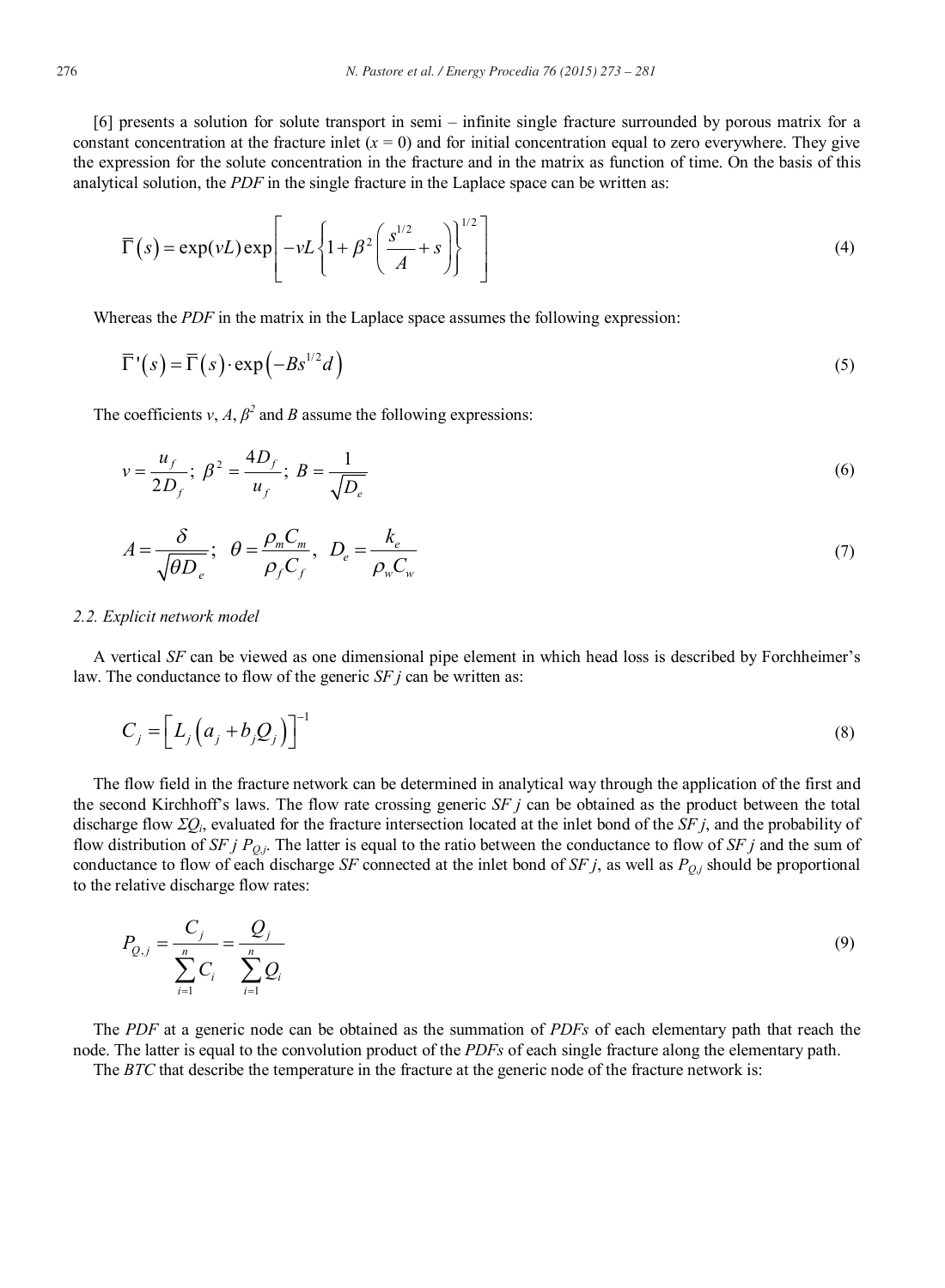[6] presents a solution for solute transport in semi – infinite single fracture surrounded by porous matrix for a constant concentration at the fracture inlet  $(x = 0)$  and for initial concentration equal to zero everywhere. They give the expression for the solute concentration in the fracture and in the matrix as function of time. On the basis of this analytical solution, the *PDF* in the single fracture in the Laplace space can be written as:

$$
\overline{\Gamma}(s) = \exp(\nu L) \exp\left[-\nu L \left\{1 + \beta^2 \left(\frac{s^{1/2}}{A} + s\right)\right\}^{1/2}\right]
$$
\n(4)

Whereas the *PDF* in the matrix in the Laplace space assumes the following expression:

$$
\overline{\Gamma}^{\prime}(s) = \overline{\Gamma}(s) \cdot \exp(-Bs^{1/2}d)
$$
\n(5)

The coefficients *v*, *A*,  $\beta^2$  and *B* assume the following expressions:

$$
v = \frac{u_f}{2D_f}; \ \beta^2 = \frac{4D_f}{u_f}; \ B = \frac{1}{\sqrt{D_e}} \tag{6}
$$

$$
A = \frac{\delta}{\sqrt{\theta D_e}}; \quad \theta = \frac{\rho_m C_m}{\rho_f C_f}, \quad D_e = \frac{k_e}{\rho_w C_w} \tag{7}
$$

#### *2.2. Explicit network model*

A vertical *SF* can be viewed as one dimensional pipe element in which head loss is described by Forchheimer's law. The conductance to flow of the generic *SF j* can be written as:

$$
C_j = \left[ L_j \left( a_j + b_j Q_j \right) \right]^{-1} \tag{8}
$$

The flow field in the fracture network can be determined in analytical way through the application of the first and the second Kirchhoff's laws. The flow rate crossing generic *SF j* can be obtained as the product between the total discharge flow  $\Sigma Q_i$ , evaluated for the fracture intersection located at the inlet bond of the *SF j*, and the probability of flow distribution of *SF j*  $P_{Q,j}$ . The latter is equal to the ratio between the conductance to flow of *SF j* and the sum of conductance to flow of each discharge *SF* connected at the inlet bond of *SF j*, as well as  $P_{Q,j}$  should be proportional to the relative discharge flow rates:

$$
P_{Q,j} = \frac{C_j}{\sum_{i=1}^n C_i} = \frac{Q_j}{\sum_{i=1}^n Q_i}
$$
\n(9)

The *PDF* at a generic node can be obtained as the summation of *PDFs* of each elementary path that reach the node. The latter is equal to the convolution product of the *PDFs* of each single fracture along the elementary path.

The *BTC* that describe the temperature in the fracture at the generic node of the fracture network is: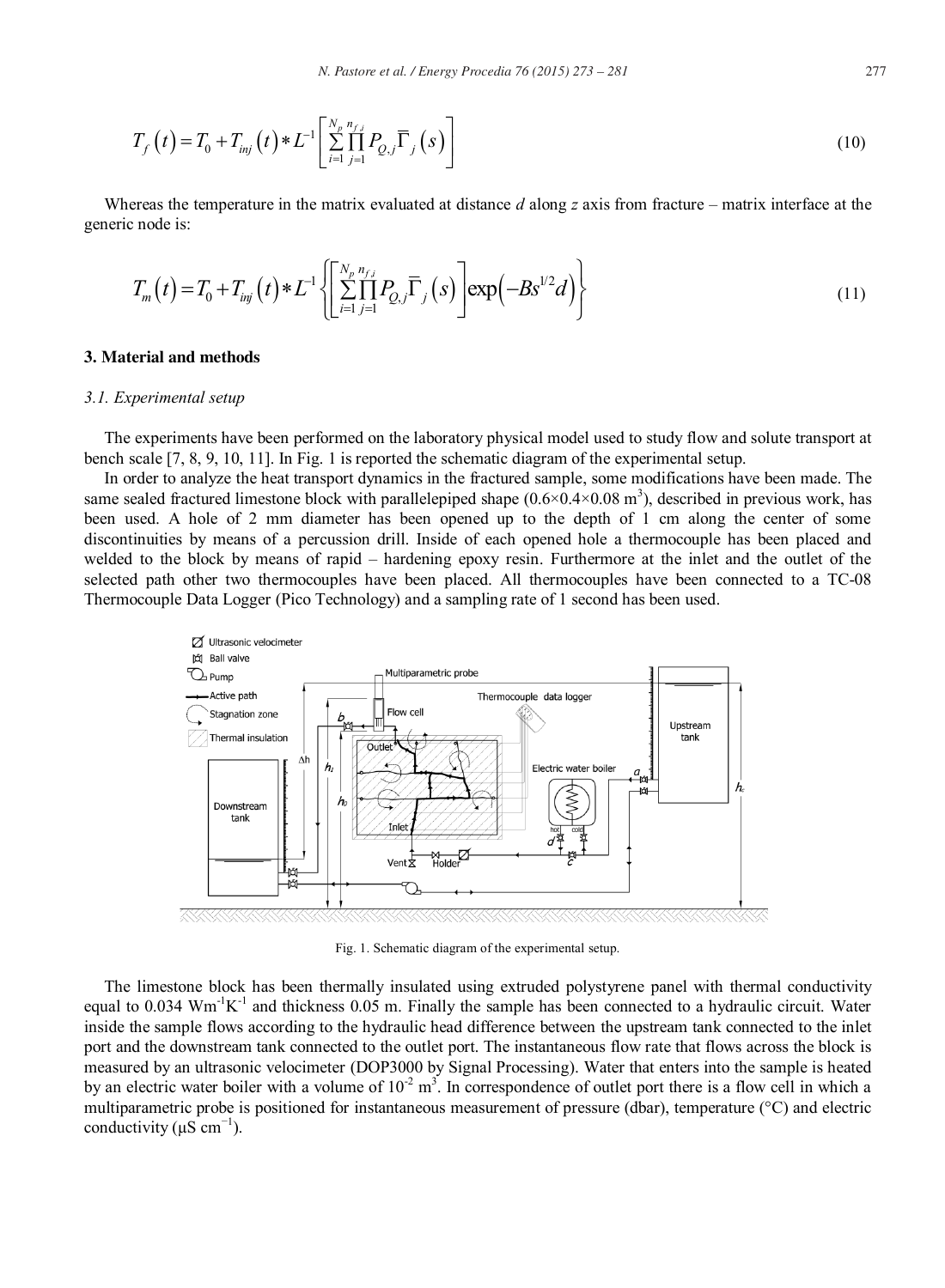$$
T_f(t) = T_0 + T_{inj}(t) * L^{-1} \left[ \sum_{i=1}^{N_p} \prod_{j=1}^{n_{f,j}} P_{Q,j} \overline{\Gamma}_j(s) \right]
$$
(10)

Whereas the temperature in the matrix evaluated at distance *d* along *z* axis from fracture – matrix interface at the generic node is:

$$
T_m(t) = T_0 + T_{inj}(t) * L^{-1} \left\{ \left[ \sum_{i=1}^{N_p} \prod_{j=1}^{n_{f,i}} P_{Q,j} \overline{\Gamma}_j(s) \right] \exp\left( -Bs^{1/2} d \right) \right\}
$$
(11)

#### **3. Material and methods**

#### *3.1. Experimental setup*

The experiments have been performed on the laboratory physical model used to study flow and solute transport at bench scale [7, 8, 9, 10, 11]. In Fig. 1 is reported the schematic diagram of the experimental setup.

In order to analyze the heat transport dynamics in the fractured sample, some modifications have been made. The same sealed fractured limestone block with parallelepiped shape  $(0.6 \times 0.4 \times 0.08 \text{ m}^3)$ , described in previous work, has been used. A hole of 2 mm diameter has been opened up to the depth of 1 cm along the center of some discontinuities by means of a percussion drill. Inside of each opened hole a thermocouple has been placed and welded to the block by means of rapid – hardening epoxy resin. Furthermore at the inlet and the outlet of the selected path other two thermocouples have been placed. All thermocouples have been connected to a TC-08 Thermocouple Data Logger (Pico Technology) and a sampling rate of 1 second has been used.



Fig. 1. Schematic diagram of the experimental setup.

The limestone block has been thermally insulated using extruded polystyrene panel with thermal conductivity equal to  $0.034$  Wm<sup>-1</sup>K<sup>-1</sup> and thickness 0.05 m. Finally the sample has been connected to a hydraulic circuit. Water inside the sample flows according to the hydraulic head difference between the upstream tank connected to the inlet port and the downstream tank connected to the outlet port. The instantaneous flow rate that flows across the block is measured by an ultrasonic velocimeter (DOP3000 by Signal Processing). Water that enters into the sample is heated by an electric water boiler with a volume of  $10^{-2}$  m<sup>3</sup>. In correspondence of outlet port there is a flow cell in which a multiparametric probe is positioned for instantaneous measurement of pressure (dbar), temperature (°C) and electric conductivity ( $\mu$ S cm<sup>-1</sup>).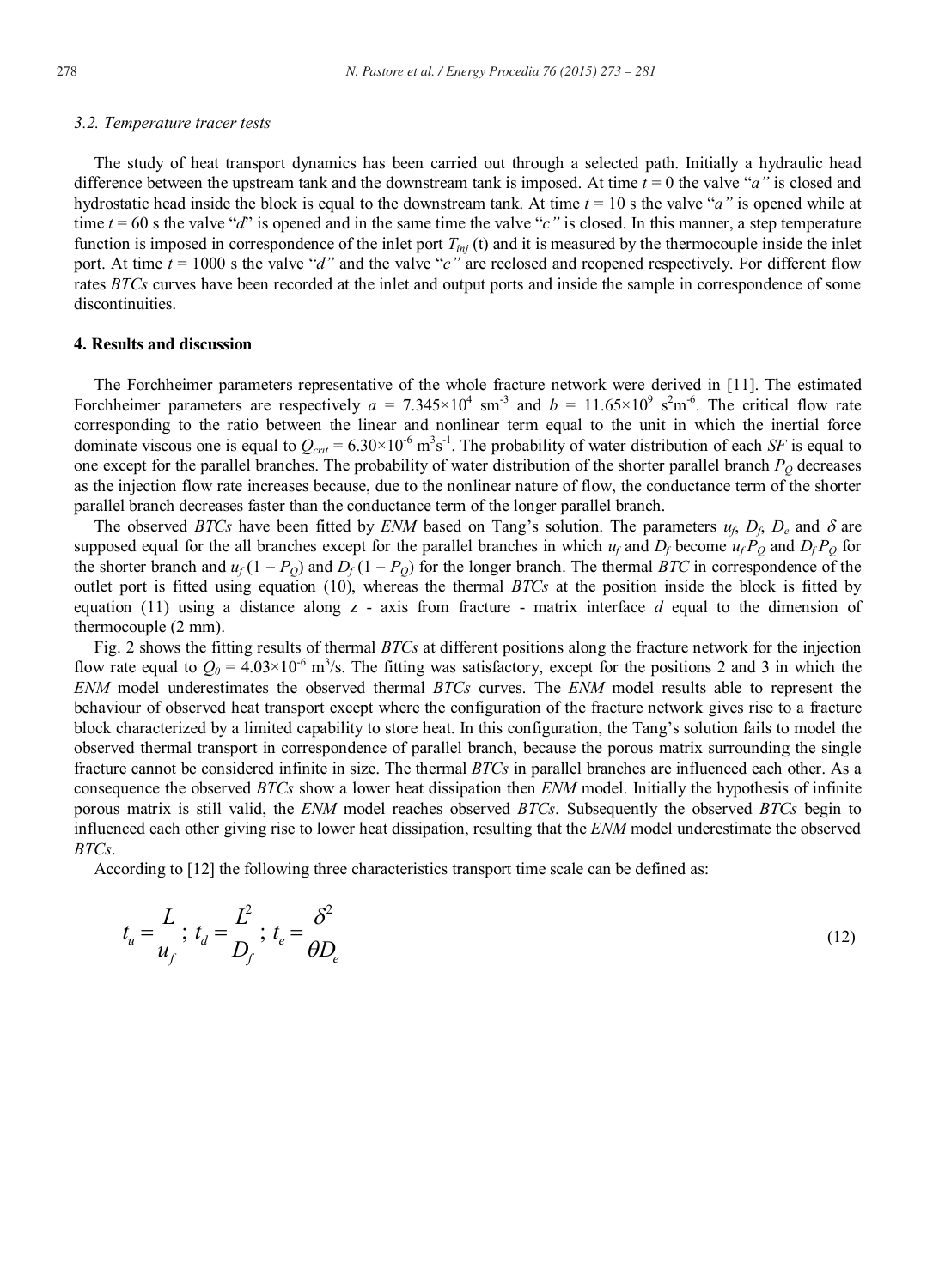#### *3.2. Temperature tracer tests*

The study of heat transport dynamics has been carried out through a selected path. Initially a hydraulic head difference between the upstream tank and the downstream tank is imposed. At time *t* = 0 the valve "*a"* is closed and hydrostatic head inside the block is equal to the downstream tank. At time *t* = 10 s the valve "*a"* is opened while at time  $t = 60$  s the valve "*d*" is opened and in the same time the valve "*c*" is closed. In this manner, a step temperature function is imposed in correspondence of the inlet port  $T_{inj}$  (t) and it is measured by the thermocouple inside the inlet port. At time  $t = 1000$  s the valve "*d*" and the valve "*c*" are reclosed and reopened respectively. For different flow rates *BTCs* curves have been recorded at the inlet and output ports and inside the sample in correspondence of some discontinuities.

#### **4. Results and discussion**

The Forchheimer parameters representative of the whole fracture network were derived in [11]. The estimated Forchheimer parameters are respectively  $a = 7.345 \times 10^4$  sm<sup>-3</sup> and  $b = 11.65 \times 10^9$  s<sup>2</sup>m<sup>-6</sup>. The critical flow rate corresponding to the ratio between the linear and nonlinear term equal to the unit in which the inertial force dominate viscous one is equal to  $Q_{crit} = 6.30 \times 10^{-6} \text{ m}^3 \text{s}^{-1}$ . The probability of water distribution of each *SF* is equal to one except for the parallel branches. The probability of water distribution of the shorter parallel branch  $P_Q$  decreases as the injection flow rate increases because, due to the nonlinear nature of flow, the conductance term of the shorter parallel branch decreases faster than the conductance term of the longer parallel branch.

The observed *BTCs* have been fitted by *ENM* based on Tang's solution. The parameters  $u_f$ ,  $D_f$ ,  $D_e$  and  $\delta$  are supposed equal for the all branches except for the parallel branches in which  $u_f$  and  $D_f$  become  $u_f P_o$  and  $D_f P_o$  for the shorter branch and  $u_f(1 - P_o)$  and  $D_f(1 - P_o)$  for the longer branch. The thermal *BTC* in correspondence of the outlet port is fitted using equation (10), whereas the thermal *BTCs* at the position inside the block is fitted by equation (11) using a distance along z - axis from fracture - matrix interface *d* equal to the dimension of thermocouple (2 mm).

Fig. 2 shows the fitting results of thermal *BTCs* at different positions along the fracture network for the injection flow rate equal to  $Q_0 = 4.03 \times 10^{-6}$  m<sup>3</sup>/s. The fitting was satisfactory, except for the positions 2 and 3 in which the *ENM* model underestimates the observed thermal *BTCs* curves. The *ENM* model results able to represent the behaviour of observed heat transport except where the configuration of the fracture network gives rise to a fracture block characterized by a limited capability to store heat. In this configuration, the Tang's solution fails to model the observed thermal transport in correspondence of parallel branch, because the porous matrix surrounding the single fracture cannot be considered infinite in size. The thermal *BTCs* in parallel branches are influenced each other. As a consequence the observed *BTCs* show a lower heat dissipation then *ENM* model. Initially the hypothesis of infinite porous matrix is still valid, the *ENM* model reaches observed *BTCs*. Subsequently the observed *BTCs* begin to influenced each other giving rise to lower heat dissipation, resulting that the *ENM* model underestimate the observed *BTCs*.

According to [12] the following three characteristics transport time scale can be defined as:

$$
t_u = \frac{L}{u_f}; \ t_d = \frac{L^2}{D_f}; \ t_e = \frac{\delta^2}{\theta D_e}
$$
\n
$$
\tag{12}
$$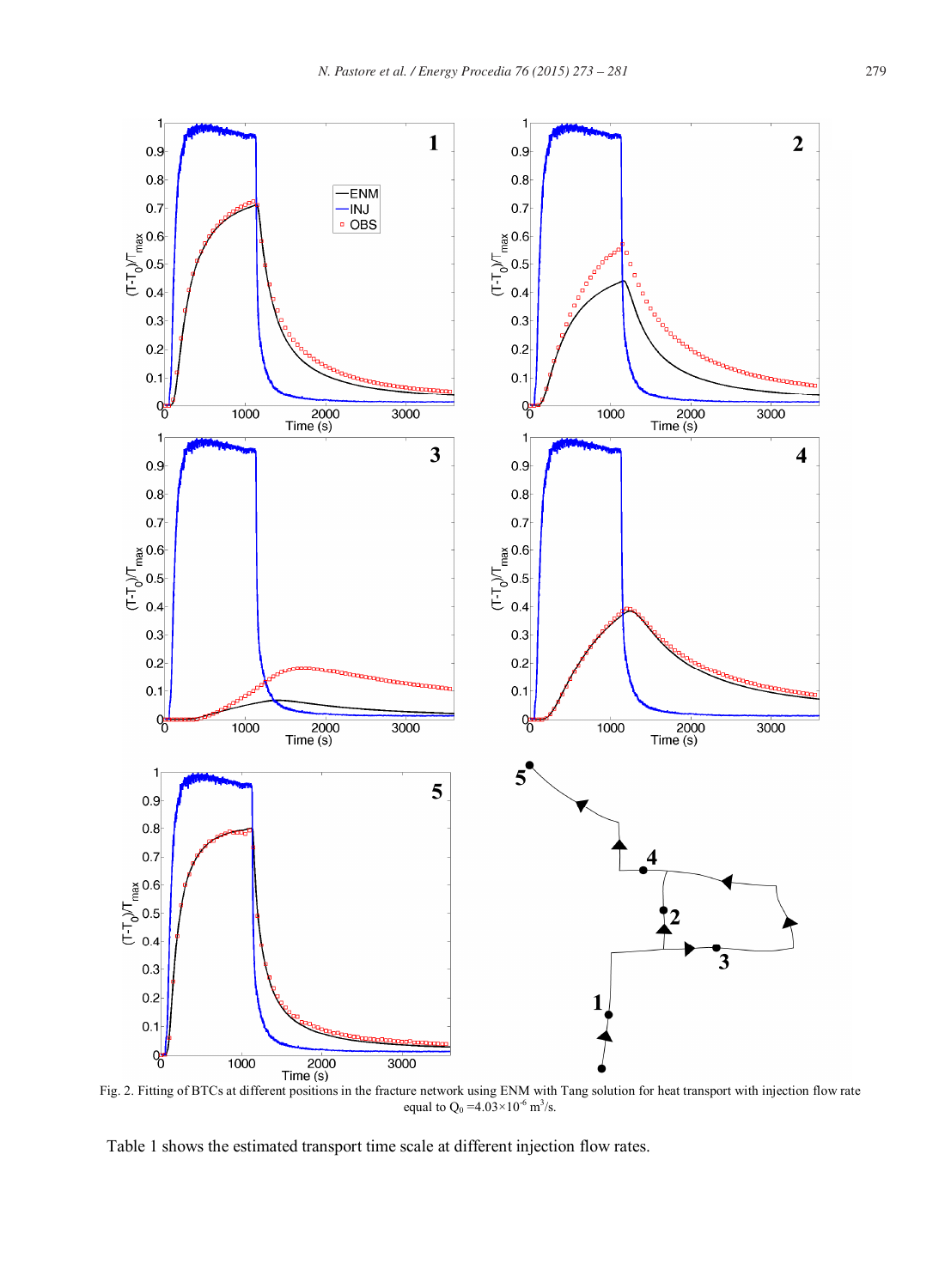

equal to  $Q_0 = 4.03 \times 10^{-6}$  m<sup>3</sup>/s.

Table 1 shows the estimated transport time scale at different injection flow rates.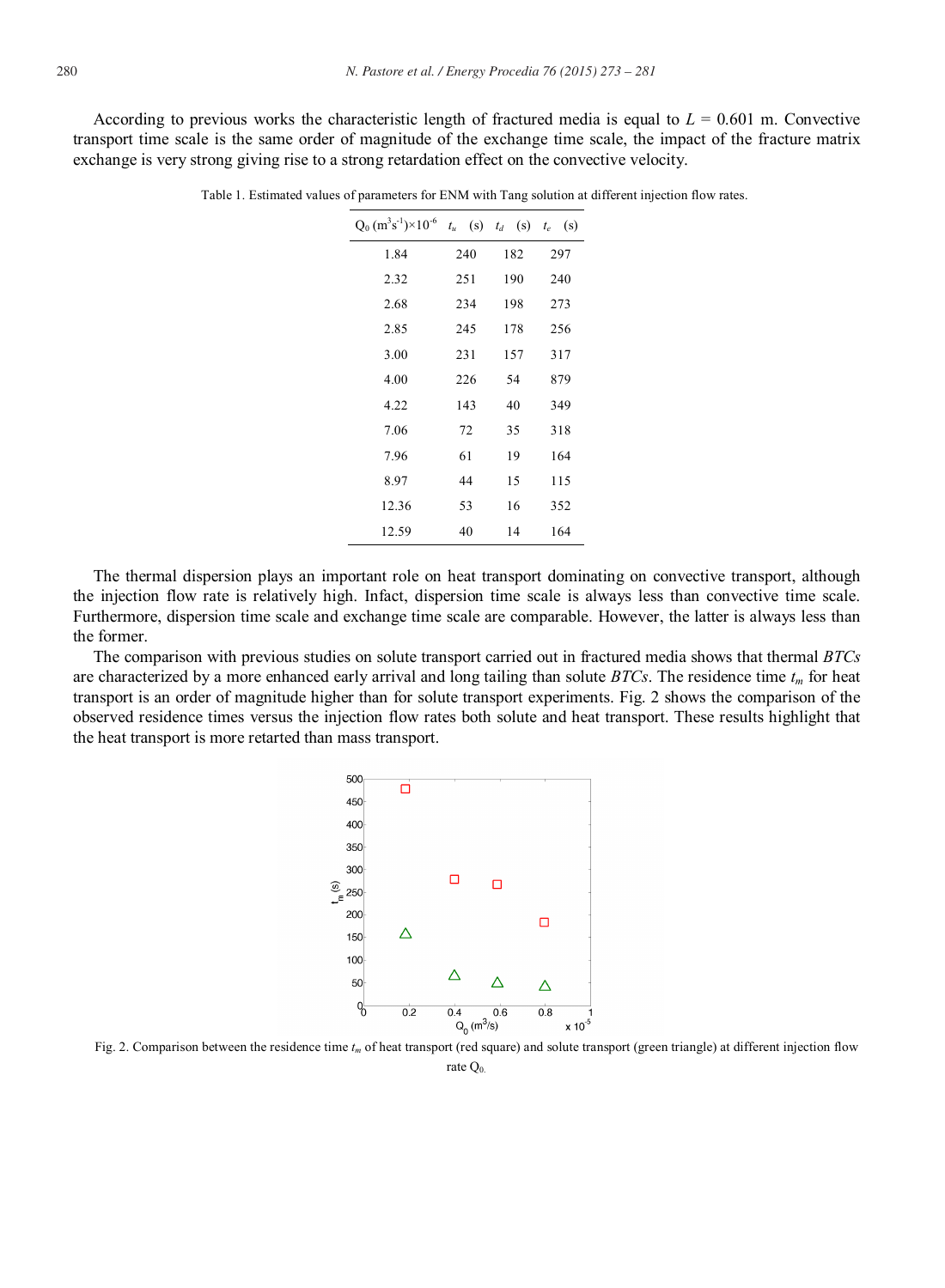According to previous works the characteristic length of fractured media is equal to  $L = 0.601$  m. Convective transport time scale is the same order of magnitude of the exchange time scale, the impact of the fracture matrix exchange is very strong giving rise to a strong retardation effect on the convective velocity.

| $Q_0$ (m <sup>3</sup> s <sup>-1</sup> )×10 <sup>-6</sup> | $t_u$ (s) | $t_d$ (s) $t_e$ (s) |     |
|----------------------------------------------------------|-----------|---------------------|-----|
| 1.84                                                     | 240       | 182                 | 297 |
| 2.32                                                     | 251       | 190                 | 240 |
| 2.68                                                     | 234       | 198                 | 273 |
| 2.85                                                     | 245       | 178                 | 256 |
| 3.00                                                     | 231       | 157                 | 317 |
| 4.00                                                     | 226       | 54                  | 879 |
| 4.22                                                     | 143       | 40                  | 349 |
| 7.06                                                     | 72        | 35                  | 318 |
| 7.96                                                     | 61        | 19                  | 164 |
| 8.97                                                     | 44        | 15                  | 115 |
| 12.36                                                    | 53        | 16                  | 352 |
| 12.59                                                    | 40        | 14                  | 164 |

Table 1. Estimated values of parameters for ENM with Tang solution at different injection flow rates.

The thermal dispersion plays an important role on heat transport dominating on convective transport, although the injection flow rate is relatively high. Infact, dispersion time scale is always less than convective time scale. Furthermore, dispersion time scale and exchange time scale are comparable. However, the latter is always less than the former.

The comparison with previous studies on solute transport carried out in fractured media shows that thermal *BTCs* are characterized by a more enhanced early arrival and long tailing than solute *BTCs*. The residence time *tm* for heat transport is an order of magnitude higher than for solute transport experiments. Fig. 2 shows the comparison of the observed residence times versus the injection flow rates both solute and heat transport. These results highlight that the heat transport is more retarted than mass transport.



Fig. 2. Comparison between the residence time  $t_m$  of heat transport (red square) and solute transport (green triangle) at different injection flow

rate Q<sub>0</sub>